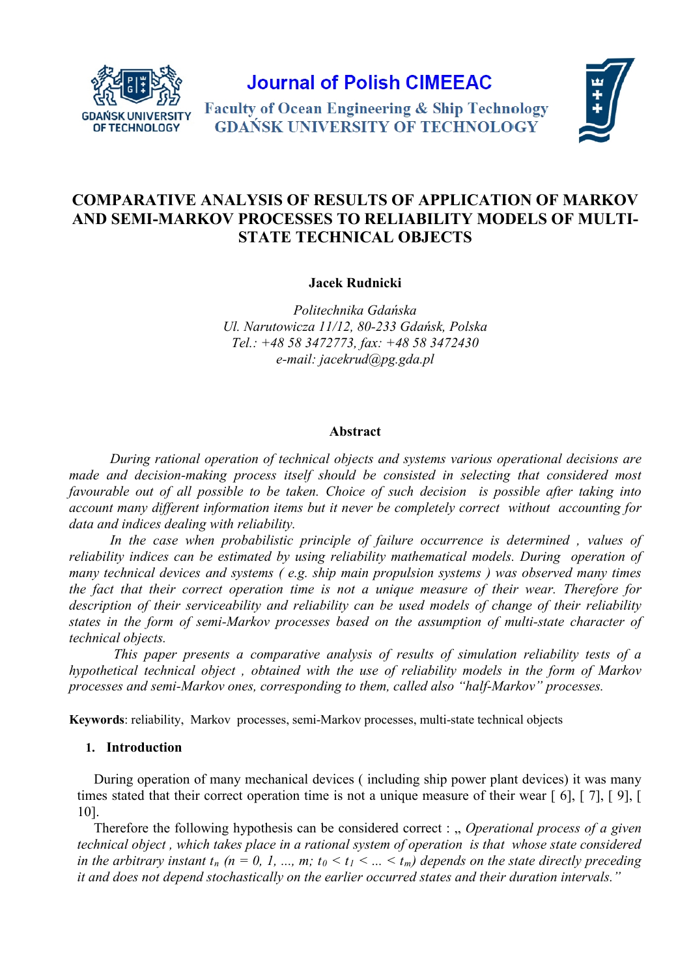

**Journal of Polish CIMEEAC** 



**Faculty of Ocean Engineering & Ship Technology GDAŃSK UNIVERSITY OF TECHNOLOGY** 

# **COMPARATIVE ANALYSIS OF RESULTS OF APPLICATION OF MARKOV AND SEMI-MARKOV PROCESSES TO RELIABILITY MODELS OF MULTI-STATE TECHNICAL OBJECTS**

**Jacek Rudnicki**

*Politechnika Gdańska Ul. Narutowicza 11/12, 80-233 Gdańsk, Polska Tel.: +48 58 3472773, fax: +48 58 3472430 e-mail: [jacekrud@pg.gda.pl](mailto:jacekrud@pg.gda.pl)*

## **Abstract**

*During rational operation of technical objects and systems various operational decisions are made and decision-making process itself should be consisted in selecting that considered most favourable out of all possible to be taken. Choice of such decision is possible after taking into account many different information items but it never be completely correct without accounting for data and indices dealing with reliability.* 

*In the case when probabilistic principle of failure occurrence is determined , values of reliability indices can be estimated by using reliability mathematical models. During operation of many technical devices and systems ( e.g. ship main propulsion systems ) was observed many times the fact that their correct operation time is not a unique measure of their wear. Therefore for description of their serviceability and reliability can be used models of change of their reliability states in the form of semi-Markov processes based on the assumption of multi-state character of technical objects.*

*This paper presents a comparative analysis of results of simulation reliability tests of a hypothetical technical object , obtained with the use of reliability models in the form of Markov processes and semi-Markov ones, corresponding to them, called also "half-Markov" processes.*

**Keywords**: reliability, Markov processes, semi-Markov processes, multi-state technical objects

# **1. Introduction**

During operation of many mechanical devices ( including ship power plant devices) it was many times stated that their correct operation time is not a unique measure of their wear [ 6], [ 7], [ 9], [ 10].

Therefore the following hypothesis can be considered correct : " *Operational process of a given technical object , which takes place in a rational system of operation is that whose state considered in the arbitrary instant*  $t_n$  ( $n = 0, 1, ..., m$ ;  $t_0 < t_1 < ... < t_m$ ) depends on the state directly preceding *it and does not depend stochastically on the earlier occurred states and their duration intervals."*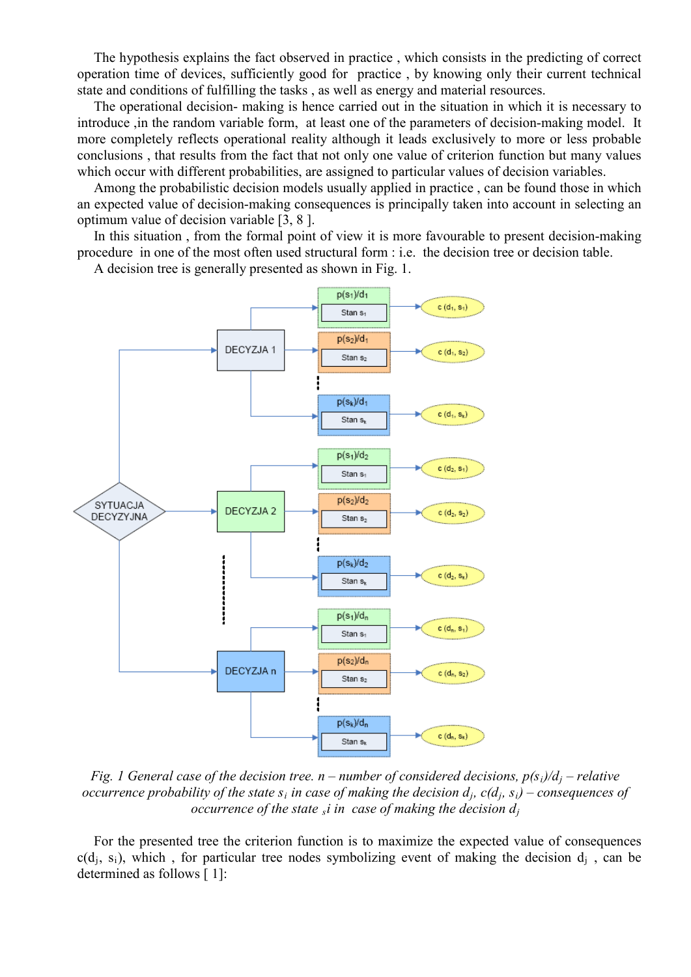The hypothesis explains the fact observed in practice , which consists in the predicting of correct operation time of devices, sufficiently good for practice , by knowing only their current technical state and conditions of fulfilling the tasks , as well as energy and material resources.

The operational decision- making is hence carried out in the situation in which it is necessary to introduce ,in the random variable form, at least one of the parameters of decision-making model. It more completely reflects operational reality although it leads exclusively to more or less probable conclusions , that results from the fact that not only one value of criterion function but many values which occur with different probabilities, are assigned to particular values of decision variables.

Among the probabilistic decision models usually applied in practice , can be found those in which an expected value of decision-making consequences is principally taken into account in selecting an optimum value of decision variable [3, 8 ].

In this situation , from the formal point of view it is more favourable to present decision-making procedure in one of the most often used structural form : i.e. the decision tree or decision table.



A decision tree is generally presented as shown in Fig. 1.

*Fig. 1 General case of the decision tree. n – number of considered decisions, p(si)/d<sup>j</sup> – relative occurrence probability of the state*  $s_i$  *in case of making the decision*  $d_i$ *,*  $c(d_i, s_i)$  *– <i>consequences of occurrence of the state si in case of making the decision dj*

For the presented tree the criterion function is to maximize the expected value of consequences  $c(d_i, s_i)$ , which, for particular tree nodes symbolizing event of making the decision  $d_i$ , can be determined as follows [ 1]: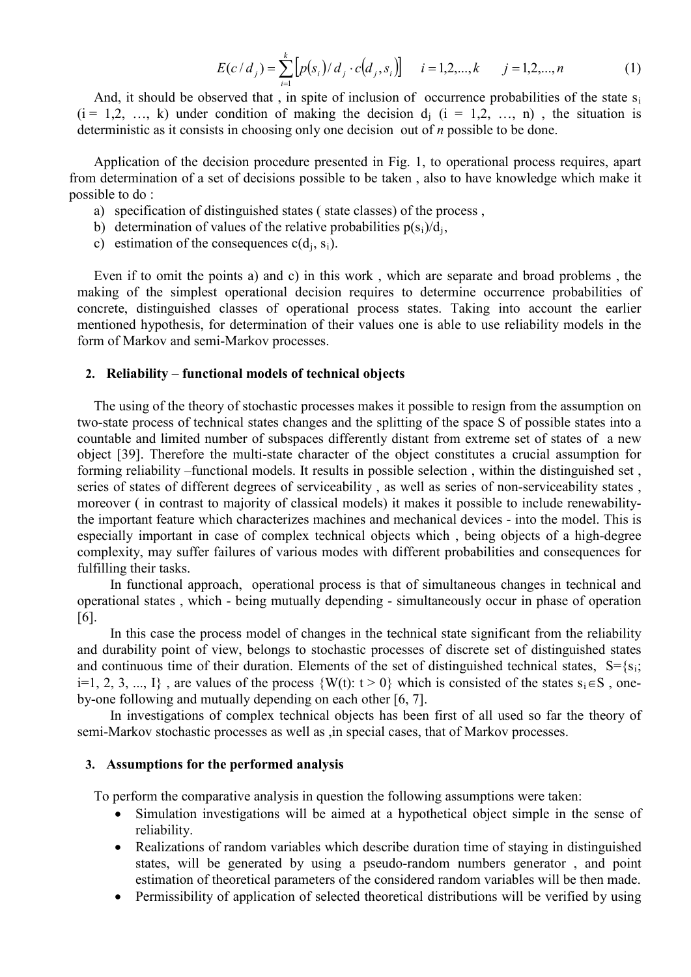$$
E(c/d_j) = \sum_{i=1}^{k} \left[ p(s_i) / d_j \cdot c(d_j, s_i) \right] \quad i = 1, 2, ..., k \quad j = 1, 2, ..., n \tag{1}
$$

And, it should be observed that, in spite of inclusion of occurrence probabilities of the state s<sub>i</sub>  $(i = 1, 2, ..., k)$  under condition of making the decision  $d_i$   $(i = 1, 2, ..., n)$ , the situation is deterministic as it consists in choosing only one decision out of *n* possible to be done.

Application of the decision procedure presented in Fig. 1, to operational process requires, apart from determination of a set of decisions possible to be taken , also to have knowledge which make it possible to do :

- a) specification of distinguished states ( state classes) of the process ,
- b) determination of values of the relative probabilities  $p(s_i)/d_i$ ,
- c) estimation of the consequences  $c(d_i, s_i)$ .

Even if to omit the points a) and c) in this work , which are separate and broad problems , the making of the simplest operational decision requires to determine occurrence probabilities of concrete, distinguished classes of operational process states. Taking into account the earlier mentioned hypothesis, for determination of their values one is able to use reliability models in the form of Markov and semi-Markov processes.

### **2. Reliability – functional models of technical objects**

The using of the theory of stochastic processes makes it possible to resign from the assumption on two-state process of technical states changes and the splitting of the space S of possible states into a countable and limited number of subspaces differently distant from extreme set of states of a new object [39]. Therefore the multi-state character of the object constitutes a crucial assumption for forming reliability –functional models. It results in possible selection , within the distinguished set , series of states of different degrees of serviceability , as well as series of non-serviceability states , moreover ( in contrast to majority of classical models) it makes it possible to include renewabilitythe important feature which characterizes machines and mechanical devices - into the model. This is especially important in case of complex technical objects which , being objects of a high-degree complexity, may suffer failures of various modes with different probabilities and consequences for fulfilling their tasks.

In functional approach, operational process is that of simultaneous changes in technical and operational states , which - being mutually depending - simultaneously occur in phase of operation [6].

In this case the process model of changes in the technical state significant from the reliability and durability point of view, belongs to stochastic processes of discrete set of distinguished states and continuous time of their duration. Elements of the set of distinguished technical states,  $S = \{s_i\}$ i=1, 2, 3, ..., I}, are values of the process  $\{W(t): t > 0\}$  which is consisted of the states  $s_i \in S$ , oneby-one following and mutually depending on each other [6, 7].

In investigations of complex technical objects has been first of all used so far the theory of semi-Markov stochastic processes as well as ,in special cases, that of Markov processes.

### **3. Assumptions for the performed analysis**

To perform the comparative analysis in question the following assumptions were taken:

- Simulation investigations will be aimed at a hypothetical object simple in the sense of reliability.
- Realizations of random variables which describe duration time of staying in distinguished states, will be generated by using a pseudo-random numbers generator , and point estimation of theoretical parameters of the considered random variables will be then made.
- Permissibility of application of selected theoretical distributions will be verified by using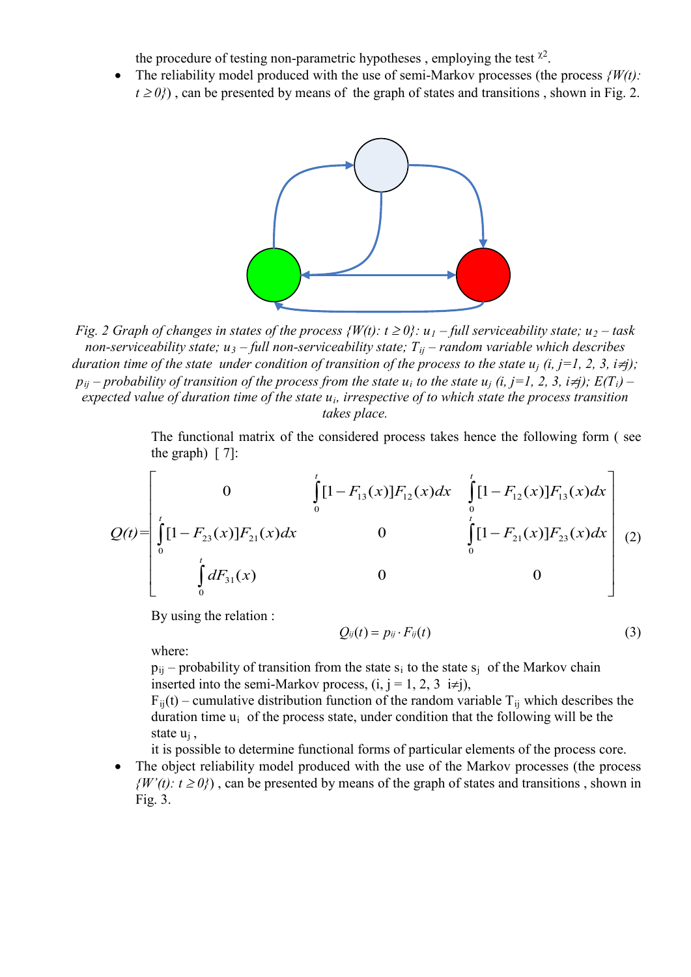the procedure of testing non-parametric hypotheses, employing the test  $x^2$ .

• The reliability model produced with the use of semi-Markov processes (the process *{W(t):*   $t \ge 0$ ), can be presented by means of the graph of states and transitions, shown in Fig. 2.



*Fig. 2 Graph of changes in states of the process*  $\{W(t): t \geq 0\}$ *:*  $u_1$  *– full serviceability state;*  $u_2$  *– task non-serviceability state;*  $u_3$  – *full non-serviceability state;*  $T_{ij}$  – *random variable which describes duration time of the state under condition of transition of the process to the state*  $u_i$  *(i, j=1, 2, 3, i* $\neq j$ *);*  $p_{ii}$  – *probability of transition of the process from the state*  $u_i$  *to the state*  $u_j$  *(i, j*=1, 2, 3, *i*≠*j*);  $E(T_i)$  – *expected value of duration time of the state ui, irrespective of to which state the process transition takes place.*

The functional matrix of the considered process takes hence the following form ( see the graph)  $\lceil 7 \rceil$ :

$$
Q(t) = \begin{bmatrix} 0 & \int_{0}^{t} [1 - F_{13}(x)]F_{12}(x)dx & \int_{0}^{t} [1 - F_{12}(x)]F_{13}(x)dx \\ \int_{0}^{t} [1 - F_{23}(x)]F_{21}(x)dx & 0 & \int_{0}^{t} [1 - F_{21}(x)]F_{23}(x)dx \\ \int_{0}^{t} dF_{31}(x) & 0 & 0 \end{bmatrix}
$$
(2)

By using the relation :

$$
Q_{ij}(t) = p_{ij} \cdot F_{ij}(t) \tag{3}
$$

where:

 $p_{ii}$  – probability of transition from the state s<sub>i</sub> to the state s<sub>i</sub> of the Markov chain inserted into the semi-Markov process,  $(i, j = 1, 2, 3 \text{ i} \neq j)$ ,

 $F_{ij}(t)$  – cumulative distribution function of the random variable T<sub>ij</sub> which describes the duration time  $u_i$  of the process state, under condition that the following will be the state uj ,

it is possible to determine functional forms of particular elements of the process core.

The object reliability model produced with the use of the Markov processes (the process  $\{W'(t): t \ge 0\}$ , can be presented by means of the graph of states and transitions, shown in Fig. 3.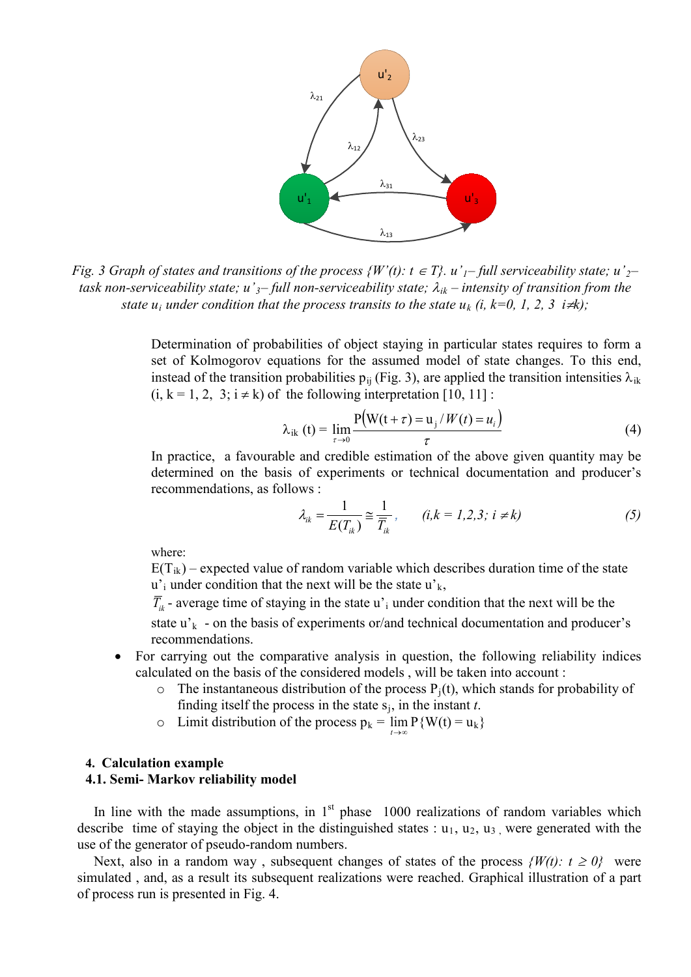

*Fig.* 3 Graph of states and transitions of the process  $\{W'(t): t \in T\}$ .  $u'_{1}-$  full serviceability state;  $u'_{2}$ *task non-serviceability state; u'3– full non-serviceability state;* λ*ik – intensity of transition from the state*  $u_i$  *under condition that the process transits to the state*  $u_k$  *(i, k=0, 1, 2, 3 i* $\neq k$ *);* 

Determination of probabilities of object staying in particular states requires to form a set of Kolmogorov equations for the assumed model of state changes. To this end, instead of the transition probabilities  $p_{ii}$  (Fig. 3), are applied the transition intensities  $\lambda_{ik}$  $(i, k = 1, 2, 3; i \neq k)$  of the following interpretation [10, 11]:

$$
\lambda_{ik}(t) = \lim_{\tau \to 0} \frac{P(W(t + \tau) = u_j / W(t) = u_i)}{\tau}
$$
(4)

In practice, a favourable and credible estimation of the above given quantity may be determined on the basis of experiments or technical documentation and producer's recommendations, as follows :

$$
\lambda_{ik} = \frac{1}{E(T_{ik})} \approx \frac{1}{\overline{T}_{ik}}, \qquad (i,k = 1,2,3; i \neq k)
$$
 (5)

where:

 $E(T_{ik})$  – expected value of random variable which describes duration time of the state  $u'$ <sub>i</sub> under condition that the next will be the state  $u'$ <sub>k</sub>,

 $\overline{T}_{ik}$  - average time of staying in the state u'<sub>i</sub> under condition that the next will be the

state  $u'_{k}$  - on the basis of experiments or/and technical documentation and producer's recommendations.

- For carrying out the comparative analysis in question, the following reliability indices calculated on the basis of the considered models , will be taken into account :
	- $\circ$  The instantaneous distribution of the process  $P_i(t)$ , which stands for probability of finding itself the process in the state  $s_i$ , in the instant  $t$ .
	- o Limit distribution of the process  $p_k = \lim_{t \to \infty} P\{W(t) = u_k\}$

#### **4. Calculation example**

### **4.1. Semi- Markov reliability model**

In line with the made assumptions, in  $1<sup>st</sup>$  phase 1000 realizations of random variables which describe time of staying the object in the distinguished states :  $u_1$ ,  $u_2$ ,  $u_3$ , were generated with the use of the generator of pseudo-random numbers.

Next, also in a random way, subsequent changes of states of the process  $\{W(t): t \geq 0\}$  were simulated , and, as a result its subsequent realizations were reached. Graphical illustration of a part of process run is presented in Fig. 4.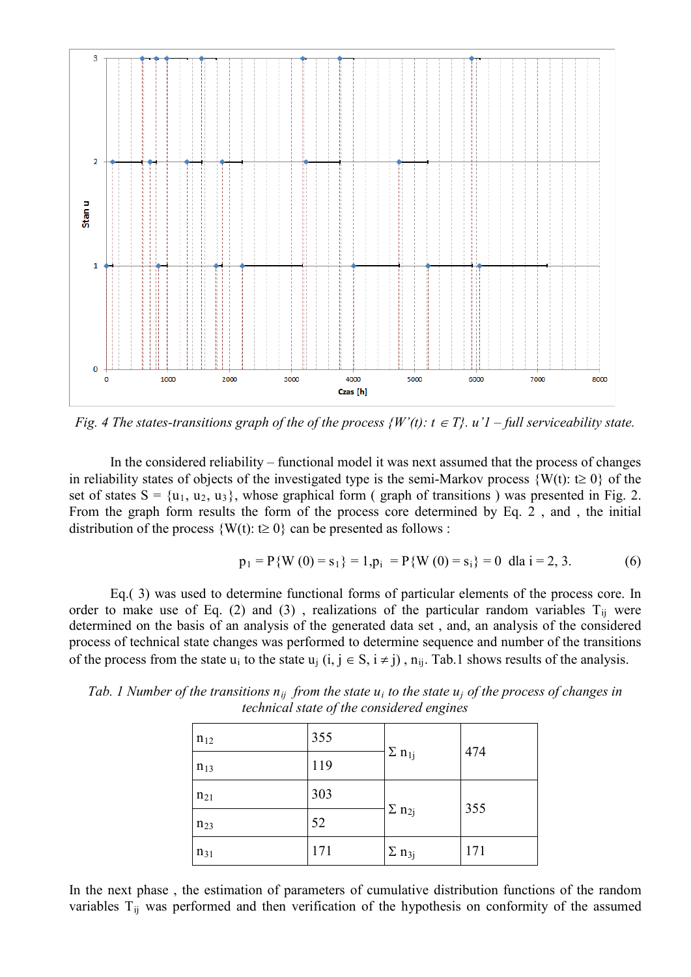

*Fig. 4 The states-transitions graph of the of the process*  $\{W'(t): t \in T\}$ *.*  $u'1$  *– full serviceability state.* 

In the considered reliability – functional model it was next assumed that the process of changes in reliability states of objects of the investigated type is the semi-Markov process  $\{W(t): t \geq 0\}$  of the set of states  $S = \{u_1, u_2, u_3\}$ , whose graphical form (graph of transitions) was presented in Fig. 2. From the graph form results the form of the process core determined by Eq. 2 , and , the initial distribution of the process  $\{W(t): t \geq 0\}$  can be presented as follows :

$$
p_1 = P\{W(0) = s_1\} = 1, p_i = P\{W(0) = s_i\} = 0 \text{ dla } i = 2, 3. \tag{6}
$$

Eq.( 3) was used to determine functional forms of particular elements of the process core. In order to make use of Eq. (2) and (3), realizations of the particular random variables  $T_{ij}$  were determined on the basis of an analysis of the generated data set , and, an analysis of the considered process of technical state changes was performed to determine sequence and number of the transitions of the process from the state u<sub>i</sub> to the state u<sub>i</sub>  $(i, j \in S, i \neq j)$ ,  $n_{ij}$ . Tab.1 shows results of the analysis.

| $n_{12}$ | 355 | $\Sigma$ n <sub>1j</sub>        | 474 |
|----------|-----|---------------------------------|-----|
| $n_{13}$ | 119 |                                 |     |
| $n_{21}$ | 303 | 355<br>$\Sigma$ n <sub>2j</sub> |     |
| $n_{23}$ | 52  |                                 |     |
| $n_{31}$ | 171 | $\Sigma$ n <sub>3j</sub>        | 171 |

*Tab. 1 Number of the transitions*  $n_{ii}$  *from the state u<sub>i</sub> to the state u<sub>i</sub> of the process of changes in technical state of the considered engines*

In the next phase , the estimation of parameters of cumulative distribution functions of the random variables T<sub>ij</sub> was performed and then verification of the hypothesis on conformity of the assumed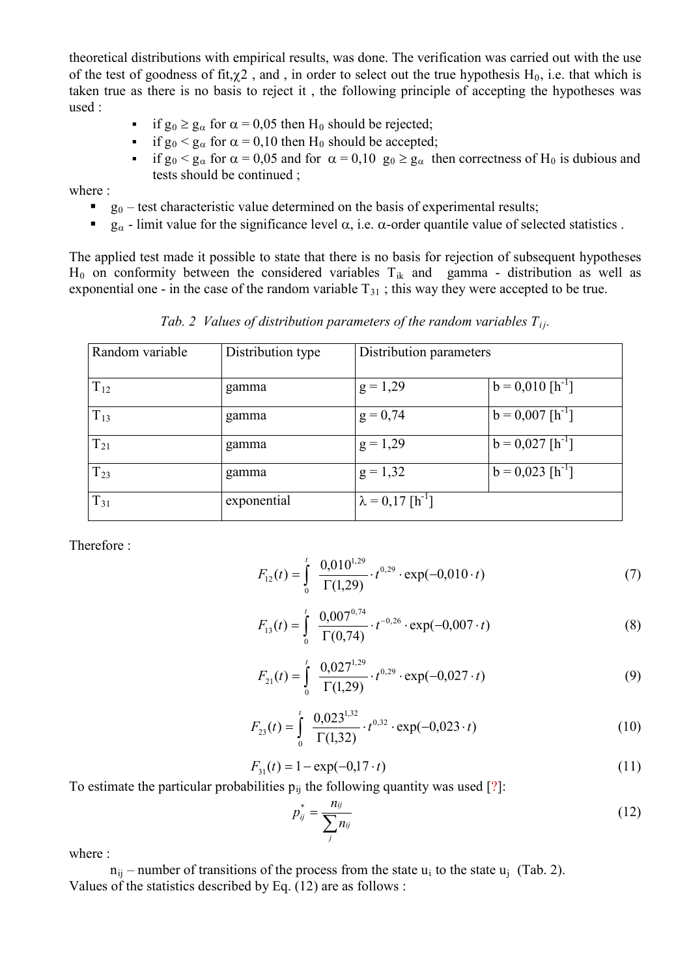theoretical distributions with empirical results, was done. The verification was carried out with the use of the test of goodness of fit,  $\chi$ 2, and, in order to select out the true hypothesis H<sub>0</sub>, i.e. that which is taken true as there is no basis to reject it , the following principle of accepting the hypotheses was used :

- if  $g_0 \ge g_\alpha$  for  $\alpha = 0.05$  then  $H_0$  should be rejected;
- if  $g_0 < g_\alpha$  for  $\alpha = 0,10$  then  $H_0$  should be accepted;
- if  $g_0 < g_\alpha$  for  $\alpha = 0.05$  and for  $\alpha = 0.10$   $g_0 \ge g_\alpha$  then correctness of H<sub>0</sub> is dubious and tests should be continued ;

where :

- g<sub>0</sub> test characteristic value determined on the basis of experimental results;
- g<sub>α</sub> limit value for the significance level  $\alpha$ , i.e.  $\alpha$ -order quantile value of selected statistics .

The applied test made it possible to state that there is no basis for rejection of subsequent hypotheses  $H_0$  on conformity between the considered variables  $T_{ik}$  and gamma - distribution as well as exponential one - in the case of the random variable  $T_{31}$ ; this way they were accepted to be true.

*Tab. 2 Values of distribution parameters of the random variables*  $T_{ij}$ *.* 

| Random variable | Distribution type | Distribution parameters             |                                |
|-----------------|-------------------|-------------------------------------|--------------------------------|
|                 |                   |                                     |                                |
| $T_{12}$        | gamma             | $g = 1,29$                          | $b = 0.010$ [h <sup>-1</sup> ] |
| $T_{13}$        | gamma             | $g = 0,74$                          | $b = 0.007$ [h <sup>-1</sup> ] |
| $T_{21}$        | gamma             | $g = 1,29$                          | $b = 0.027$ [h <sup>-1</sup> ] |
| $T_{23}$        | gamma             | $g = 1,32$                          | $b = 0.023$ [h <sup>-1</sup> ] |
| $T_{31}$        | exponential       | $\lambda = 0.17$ [h <sup>-1</sup> ] |                                |

Therefore :

$$
F_{12}(t) = \int_{0}^{t} \frac{0.010^{1.29}}{\Gamma(1.29)} \cdot t^{0.29} \cdot \exp(-0.010 \cdot t)
$$
 (7)

$$
F_{13}(t) = \int_{0}^{t} \frac{0.007^{0.74}}{\Gamma(0.74)} \cdot t^{-0.26} \cdot \exp(-0.007 \cdot t)
$$
 (8)

$$
F_{21}(t) = \int_{0}^{t} \frac{0.027^{1.29}}{\Gamma(1.29)} \cdot t^{0.29} \cdot \exp(-0.027 \cdot t)
$$
 (9)

$$
F_{23}(t) = \int_{0}^{t} \frac{0.023^{1.32}}{\Gamma(1.32)} \cdot t^{0.32} \cdot \exp(-0.023 \cdot t)
$$
 (10)

$$
F_{31}(t) = 1 - \exp(-0.17 \cdot t) \tag{11}
$$

To estimate the particular probabilities  $p_{ij}$  the following quantity was used [?]:

$$
p_{ij}^* = \frac{n_{ij}}{\sum_j n_{ij}}\tag{12}
$$

where  $\cdot$ 

 $n_{ii}$  – number of transitions of the process from the state u<sub>i</sub> to the state u<sub>i</sub> (Tab. 2). Values of the statistics described by Eq. (12) are as follows :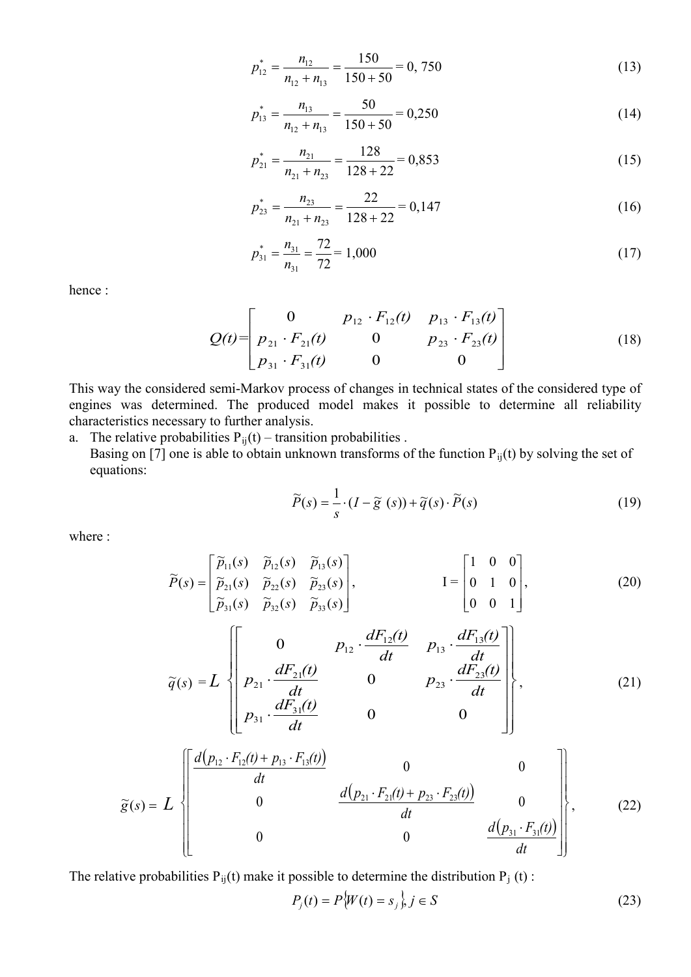$$
p_{12}^* = \frac{n_{12}}{n_{12} + n_{13}} = \frac{150}{150 + 50} = 0,750
$$
 (13)

$$
p_{13}^* = \frac{n_{13}}{n_{12} + n_{13}} = \frac{50}{150 + 50} = 0,250
$$
 (14)

$$
p_{21}^* = \frac{n_{21}}{n_{21} + n_{23}} = \frac{128}{128 + 22} = 0,853
$$
 (15)

$$
p_{23}^* = \frac{n_{23}}{n_{21} + n_{23}} = \frac{22}{128 + 22} = 0,147
$$
 (16)

$$
p_{31}^* = \frac{n_{31}}{n_{31}} = \frac{72}{72} = 1,000
$$
 (17)

hence :

$$
Q(t) = \begin{bmatrix} 0 & p_{12} \cdot F_{12}(t) & p_{13} \cdot F_{13}(t) \\ p_{21} \cdot F_{21}(t) & 0 & p_{23} \cdot F_{23}(t) \\ p_{31} \cdot F_{31}(t) & 0 & 0 \end{bmatrix}
$$
 (18)

This way the considered semi-Markov process of changes in technical states of the considered type of engines was determined. The produced model makes it possible to determine all reliability characteristics necessary to further analysis.

a. The relative probabilities  $P_{ij}(t)$  – transition probabilities . Basing on [7] one is able to obtain unknown transforms of the function  $P_{ij}(t)$  by solving the set of equations:

$$
\widetilde{P}(s) = \frac{1}{s} \cdot (I - \widetilde{g}(s)) + \widetilde{q}(s) \cdot \widetilde{P}(s)
$$
\n(19)

where :

$$
\widetilde{P}(s) = \begin{bmatrix} \widetilde{p}_{11}(s) & \widetilde{p}_{12}(s) & \widetilde{p}_{13}(s) \\ \widetilde{p}_{21}(s) & \widetilde{p}_{22}(s) & \widetilde{p}_{23}(s) \\ \widetilde{p}_{31}(s) & \widetilde{p}_{32}(s) & \widetilde{p}_{33}(s) \end{bmatrix}, \qquad I = \begin{bmatrix} 1 & 0 & 0 \\ 0 & 1 & 0 \\ 0 & 0 & 1 \end{bmatrix}, \qquad (20)
$$

$$
\widetilde{q}(s) = L \left\{ \begin{bmatrix} 0 & p_{12} \cdot \frac{dF_{12}(t)}{dt} & p_{13} \cdot \frac{dF_{13}(t)}{dt} \\ p_{21} \cdot \frac{dF_{21}(t)}{dt} & 0 & p_{23} \cdot \frac{dF_{23}(t)}{dt} \\ p_{31} \cdot \frac{dF_{31}(t)}{dt} & 0 & 0 \end{bmatrix} \right\},
$$
\n(21)

$$
\widetilde{g}(s) = L \begin{bmatrix} \frac{d(p_{12} \cdot F_{12}(t) + p_{13} \cdot F_{13}(t))}{dt} & 0 & 0\\ 0 & \frac{d(p_{21} \cdot F_{21}(t) + p_{23} \cdot F_{23}(t))}{dt} & 0\\ 0 & 0 & \frac{d(p_{31} \cdot F_{31}(t))}{dt} \end{bmatrix},
$$
(22)

The relative probabilities  $P_{ij}(t)$  make it possible to determine the distribution  $P_j(t)$ :

$$
P_j(t) = P\{W(t) = s_j\}, j \in S
$$
 (23)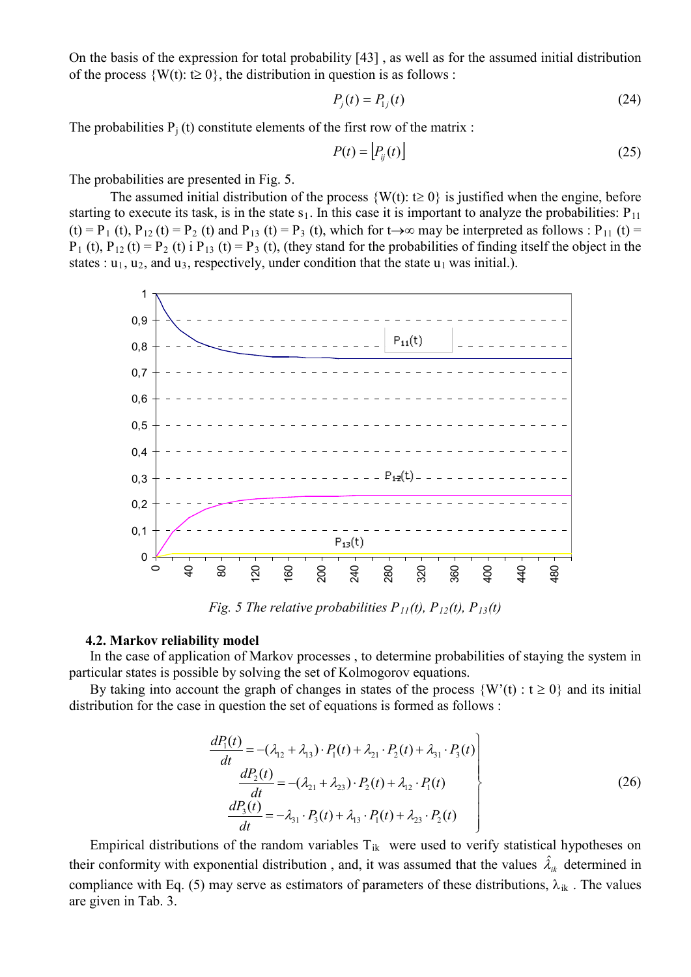On the basis of the expression for total probability [43] , as well as for the assumed initial distribution of the process  $\{W(t): t \geq 0\}$ , the distribution in question is as follows :

$$
P_j(t) = P_{1j}(t)
$$
 (24)

The probabilities  $P_i(t)$  constitute elements of the first row of the matrix :

$$
P(t) = \left[ P_{ij}(t) \right] \tag{25}
$$

The probabilities are presented in Fig. 5.

The assumed initial distribution of the process  $\{W(t): t \geq 0\}$  is justified when the engine, before starting to execute its task, is in the state  $s_1$ . In this case it is important to analyze the probabilities:  $P_{11}$ (t) = P<sub>1</sub> (t), P<sub>12</sub> (t) = P<sub>2</sub> (t) and P<sub>13</sub> (t) = P<sub>3</sub> (t), which for t→∞ may be interpreted as follows : P<sub>11</sub> (t) =  $P_1$  (t),  $P_{12}$  (t) =  $P_2$  (t) i  $P_{13}$  (t) =  $P_3$  (t), (they stand for the probabilities of finding itself the object in the states :  $u_1$ ,  $u_2$ , and  $u_3$ , respectively, under condition that the state  $u_1$  was initial.).



*Fig.* 5 *The relative probabilities*  $P_{11}(t)$ ,  $P_{12}(t)$ ,  $P_{13}(t)$ 

#### **4.2. Markov reliability model**

In the case of application of Markov processes , to determine probabilities of staying the system in particular states is possible by solving the set of Kolmogorov equations.

By taking into account the graph of changes in states of the process  $\{W'(t): t \ge 0\}$  and its initial distribution for the case in question the set of equations is formed as follows :

$$
\frac{dP_1(t)}{dt} = -(\lambda_{12} + \lambda_{13}) \cdot P_1(t) + \lambda_{21} \cdot P_2(t) + \lambda_{31} \cdot P_3(t) \n\frac{dP_2(t)}{dt} = -(\lambda_{21} + \lambda_{23}) \cdot P_2(t) + \lambda_{12} \cdot P_1(t) \n\frac{dP_3(t)}{dt} = -\lambda_{31} \cdot P_3(t) + \lambda_{13} \cdot P_1(t) + \lambda_{23} \cdot P_2(t)
$$
\n(26)

Empirical distributions of the random variables  $T_{ik}$  were used to verify statistical hypotheses on their conformity with exponential distribution, and, it was assumed that the values  $\hat{\lambda}_{ik}$  determined in compliance with Eq. (5) may serve as estimators of parameters of these distributions,  $\lambda_{ik}$ . The values are given in Tab. 3.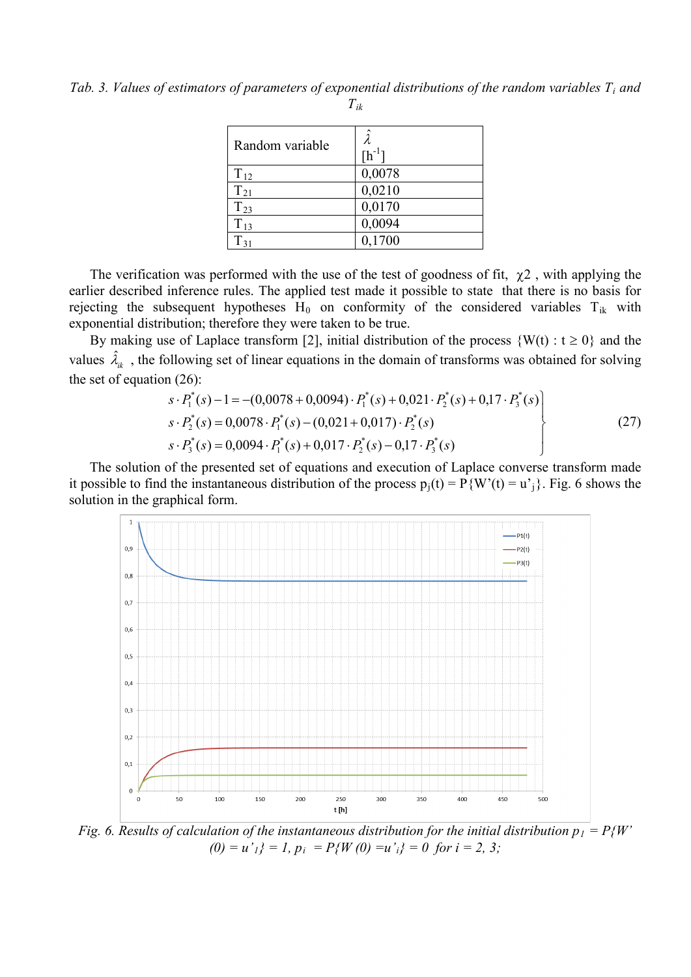*Tab. 3. Values of estimators of parameters of exponential distributions of the random variables Ti and Tik*

| Random variable | $\hbox{[h}^1$ |
|-----------------|---------------|
| $T_{12}$        | 0,0078        |
| $T_{21}$        | 0,0210        |
| $T_{23}$        | 0,0170        |
| $T_{13}$        | 0,0094        |
| $\Gamma_{31}$   | 0,1700        |

The verification was performed with the use of the test of goodness of fit,  $\chi^2$ , with applying the earlier described inference rules. The applied test made it possible to state that there is no basis for rejecting the subsequent hypotheses  $H_0$  on conformity of the considered variables  $T_{ik}$  with exponential distribution; therefore they were taken to be true.

By making use of Laplace transform [2], initial distribution of the process  $\{W(t): t \ge 0\}$  and the values  $\hat{\lambda}_{ik}$ , the following set of linear equations in the domain of transforms was obtained for solving the set of equation (26):

$$
s \cdot P_1^*(s) - 1 = -(0,0078 + 0,0094) \cdot P_1^*(s) + 0,021 \cdot P_2^*(s) + 0,17 \cdot P_3^*(s)
$$
  
\n
$$
s \cdot P_2^*(s) = 0,0078 \cdot P_1^*(s) - (0,021 + 0,017) \cdot P_2^*(s)
$$
  
\n
$$
s \cdot P_3^*(s) = 0,0094 \cdot P_1^*(s) + 0,017 \cdot P_2^*(s) - 0,17 \cdot P_3^*(s)
$$
 (27)

The solution of the presented set of equations and execution of Laplace converse transform made it possible to find the instantaneous distribution of the process  $p_i(t) = P\{W'(t) = u^i\}$ . Fig. 6 shows the solution in the graphical form.



*Fig.* 6. Results of calculation of the instantaneous distribution for the initial distribution  $p_1 = P\{W\}$  $(0) = u'_{1}$   $= 1, p_{i} = P_{i}W(0) = u'_{i}$   $= 0$  for  $i = 2, 3;$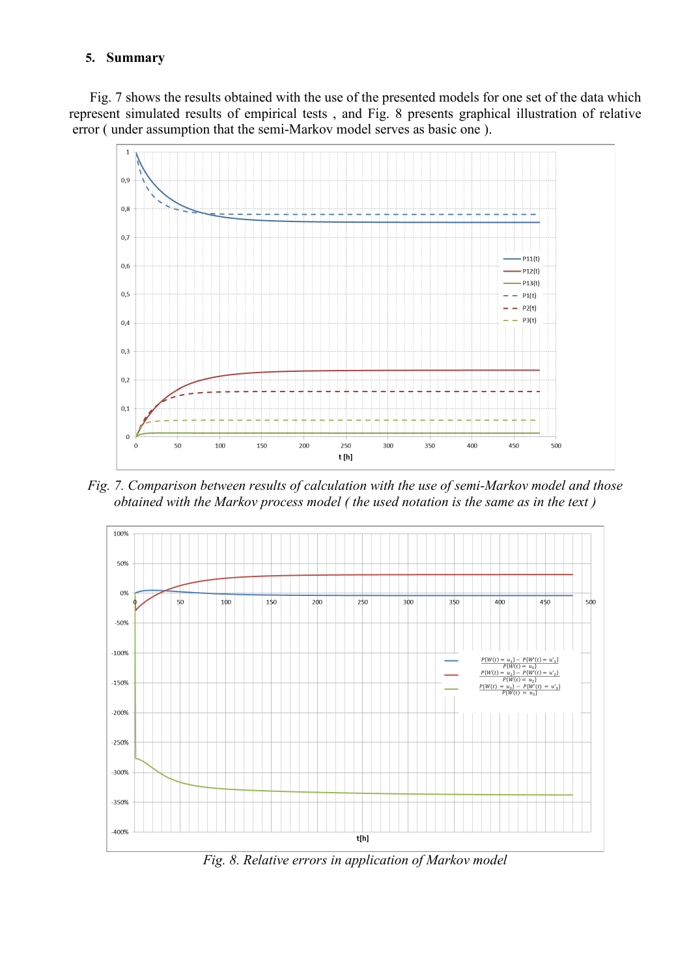# **5. Summary**

Fig. 7 shows the results obtained with the use of the presented models for one set of the data which represent simulated results of empirical tests , and Fig. 8 presents graphical illustration of relative error ( under assumption that the semi-Markov model serves as basic one ).



*Fig. 7. Comparison between results of calculation with the use of semi-Markov model and those obtained with the Markov process model ( the used notation is the same as in the text )*



*Fig. 8. Relative errors in application of Markov model*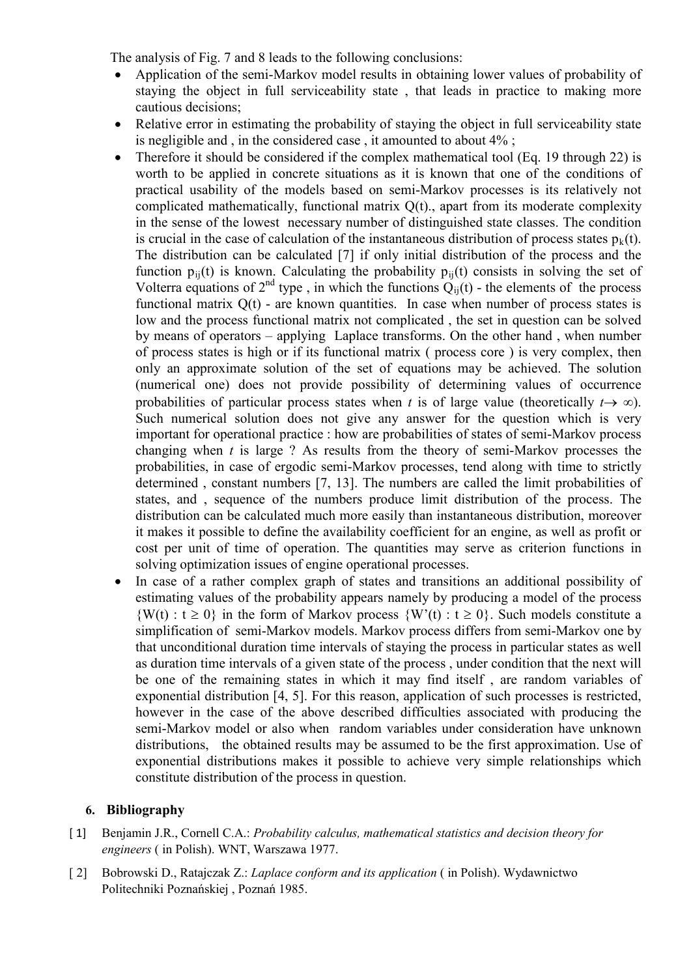The analysis of Fig. 7 and 8 leads to the following conclusions:

- Application of the semi-Markov model results in obtaining lower values of probability of staying the object in full serviceability state , that leads in practice to making more cautious decisions;
- Relative error in estimating the probability of staying the object in full serviceability state is negligible and , in the considered case , it amounted to about 4% ;
- Therefore it should be considered if the complex mathematical tool (Eq. 19 through 22) is worth to be applied in concrete situations as it is known that one of the conditions of practical usability of the models based on semi-Markov processes is its relatively not complicated mathematically, functional matrix Q(t)., apart from its moderate complexity in the sense of the lowest necessary number of distinguished state classes. The condition is crucial in the case of calculation of the instantaneous distribution of process states  $p_k(t)$ . The distribution can be calculated [7] if only initial distribution of the process and the function  $p_{ii}(t)$  is known. Calculating the probability  $p_{ii}(t)$  consists in solving the set of Volterra equations of  $2^{nd}$  type, in which the functions  $Q_{ii}(t)$  - the elements of the process functional matrix Q(t) - are known quantities. In case when number of process states is low and the process functional matrix not complicated , the set in question can be solved by means of operators – applying Laplace transforms. On the other hand , when number of process states is high or if its functional matrix ( process core ) is very complex, then only an approximate solution of the set of equations may be achieved. The solution (numerical one) does not provide possibility of determining values of occurrence probabilities of particular process states when *t* is of large value (theoretically  $t \rightarrow \infty$ ). Such numerical solution does not give any answer for the question which is very important for operational practice : how are probabilities of states of semi-Markov process changing when *t* is large ? As results from the theory of semi-Markov processes the probabilities, in case of ergodic semi-Markov processes, tend along with time to strictly determined , constant numbers [7, 13]. The numbers are called the limit probabilities of states, and , sequence of the numbers produce limit distribution of the process. The distribution can be calculated much more easily than instantaneous distribution, moreover it makes it possible to define the availability coefficient for an engine, as well as profit or cost per unit of time of operation. The quantities may serve as criterion functions in solving optimization issues of engine operational processes.
- In case of a rather complex graph of states and transitions an additional possibility of estimating values of the probability appears namely by producing a model of the process  $\{W(t): t \geq 0\}$  in the form of Markov process  $\{W'(t): t \geq 0\}$ . Such models constitute a simplification of semi-Markov models. Markov process differs from semi-Markov one by that unconditional duration time intervals of staying the process in particular states as well as duration time intervals of a given state of the process , under condition that the next will be one of the remaining states in which it may find itself , are random variables of exponential distribution [4, 5]. For this reason, application of such processes is restricted, however in the case of the above described difficulties associated with producing the semi-Markov model or also when random variables under consideration have unknown distributions, the obtained results may be assumed to be the first approximation. Use of exponential distributions makes it possible to achieve very simple relationships which constitute distribution of the process in question.

# **6. Bibliography**

- [ 1] Benjamin J.R., Cornell C.A.: *Probability calculus, mathematical statistics and decision theory for engineers* ( in Polish). WNT, Warszawa 1977.
- [ 2] Bobrowski D., Ratajczak Z.: *Laplace conform and its application* ( in Polish). Wydawnictwo Politechniki Poznańskiej , Poznań 1985.